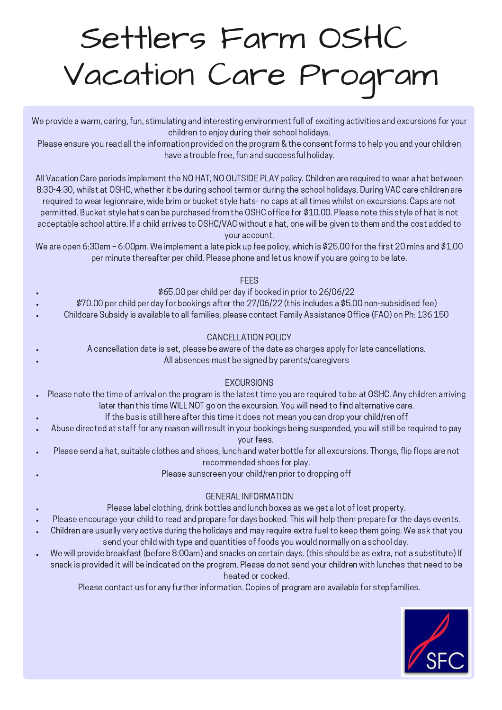# Settlers Farm OSHC Vacation Care Program

We provide a warm, caring, fun, stimulating and interesting environment full of exciting activities and excursions for your children to enjoy during their school holidays.

Please ensure you read all the information provided on the program & the consent forms to help you and your children have a trouble free, fun and successful holiday.

All Vacation Care periods implement the NO HAT, NO OUTSIDE PLAY policy. Children are required to wear a hat between 8:30-4:30, whilst at OSHC, whether it be during school term or during the school holidays. During VAC care children are required to wear legionnaire, wide brim or bucket style hats- no caps at all times whilst on excursions. Caps are not permitted. Bucket style hats can be purchased from the OSHC office for \$10.00. Please note this style of hat is not acceptable school attire. If a child arrives to OSHC/VAC without a hat, one will be given to them and the cost added to your account.

We are open 6:30am – 6:00pm. We implement a late pick up fee policy, which is \$25.00 for the first 20 mins and \$1.00 per minute thereafter per child. Please phone and let us know if you are going to be late.

**FEES** 

- \$65.00 per child per day if booked in prior to 26/06/22
- \$70.00 per child per day for bookings after the 27/06/22 (this includes a \$5.00 non-subsidised fee)
- Childcare Subsidy is available to all families, please contact Family Assistance Office (FAO) on Ph: 136 150

#### CANCELLATION POLICY

- A cancellation date is set, please be aware of the date as charges apply for late cancellations.
	- All absences must be signed by parents/caregivers

#### EXCURSIONS

- Please note the time of arrival on the program is the latest time you are required to be at OSHC. Any children arriving later than this time WILL NOT go on the excursion. You will need to find alternative care.
	- If the bus is still here after this time it does not mean you can drop your child/ren off
- Abuse directed at staff for any reason will result in your bookings being suspended, you will still be required to pay  $\ddot{\phantom{0}}$

your fees.

- Please send a hat, suitable clothes and shoes, lunch and water bottle for all excursions. Thongs, flip flops are not recommended shoes for play.
	- Please sunscreen your child/ren prior to dropping off

#### GENERAL INFORMATION

- Please label clothing, drink bottles and lunch boxes as we get a lot of lost property.
- Please encourage your child to read and prepare for days booked. This will help them prepare for the days events.
- Children are usually very active during the holidays and may require extra fuel to keep them going. We ask that you  $\ddot{\phantom{0}}$ send your child with type and quantities of foods you would normally on a school day.
- We will provide breakfast (before 8:00am) and snacks on certain days. (this should be as extra, not a substitute) If  $\ddot{\phantom{0}}$ snack is provided it will be indicated on the program. Please do not send your children with lunches that need to be heated or cooked.

Please contact us for any further information. Copies of program are available for stepfamilies.

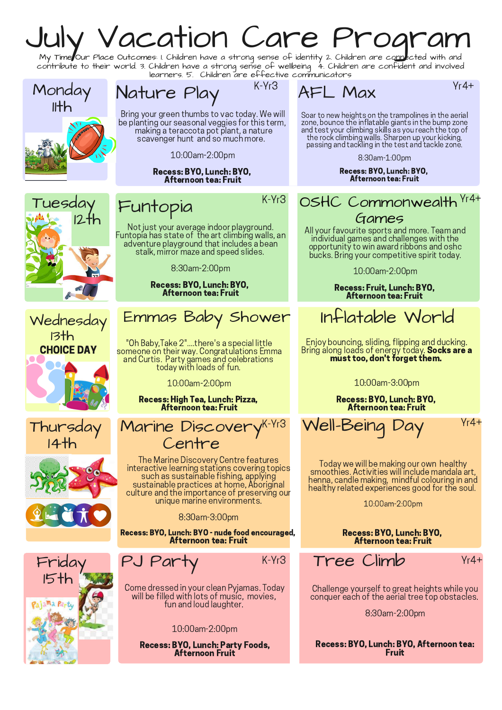### July Vacation Care Program

My Time Our Place Outcomes: 1. Children have a strong sense of identity 2. Children are connected with and contribute to their world. 3. Children have a strong sense of wellbeing 4. Children are confident and involved learners. 5. Children are effective communicators



12th

Funtopia

Not just your average indoor playground. Funtopia has state of the art climbing walls, an adventure playground that includes a bean stalk, mirror maze and speed slides.

10:00am-2:00pm Recess: BYO, Lunch: BYO, Afternoon tea: Fruit

8:30am-2:00pm

Recess: BYO, Lunch: BYO, Afternoon tea: Fruit















"Oh Baby,Take 2"....there's a special little someone on their way. Congratulations Emma and Curtis. Party games and celebrations today with loads of fun.

10:00am-2:00pm

Recess: High Tea, Lunch: Pizza, Afternoon tea: Fruit



The Marine Discovery Centre features interactive learning stations covering topics such as sustainable fishing, applying sustainable practices at home, Aboriginal culture and the importance of preserving our unique marine environments.

8:30am-3:00pm

Recess: BYO, Lunch: BYO - nude food encouraged, Afternoon tea: Fruit



Come dressed in your clean Pyjamas. Today will be filled with lots of music, movies, fun and loud laughter.

10:00am-2:00pm

Recess: BYO, Lunch: Party Foods, Afternoon Fruit



Soar to new heights on the trampolines in the aerial zone, bounce the inflatable giants in the bump zone and test your climbing skills as you reach the top of the rock climbing walls. Sharpen up your kicking, passing and tackling in the test and tackle zone.

8:30am-1:00pm

Recess: BYO, Lunch: BYO, Afternoon tea: Fruit

 $K-Yr3$  OSHC Commonwealth  $Yr4+$ Games

All your favourite sports and more. Team and individual games and challenges with the opportunity to win award ribbons and oshc bucks. Bring your competitive spirit today.

10:00am-2:00pm

Recess: Fruit, Lunch: BYO, Afternoon tea: Fruit

Enjoy bouncing, sliding, flipping and ducking. Bring along loads of energy today. **Socks are a** must too, don't forget them.

10:00am-3:00pm

Recess: BYO, Lunch: BYO, Afternoon tea: Fruit



Today we will be making our own healthy smoothies. Activities will include mandala art, henna, candle making, mindful colouring in and healthy related experiences good for the soul.

10:00am-2:00pm

Recess: BYO, Lunch: BYO, Afternoon tea: Fruit

K-Yr $3$  Tree Climb  $Yr4+$ 

Challenge yourself to great heights while you conquer each of the aerial tree top obstacles.

8:30am-2:00pm

Recess: BYO, Lunch: BYO, Afternoon tea: Fruit